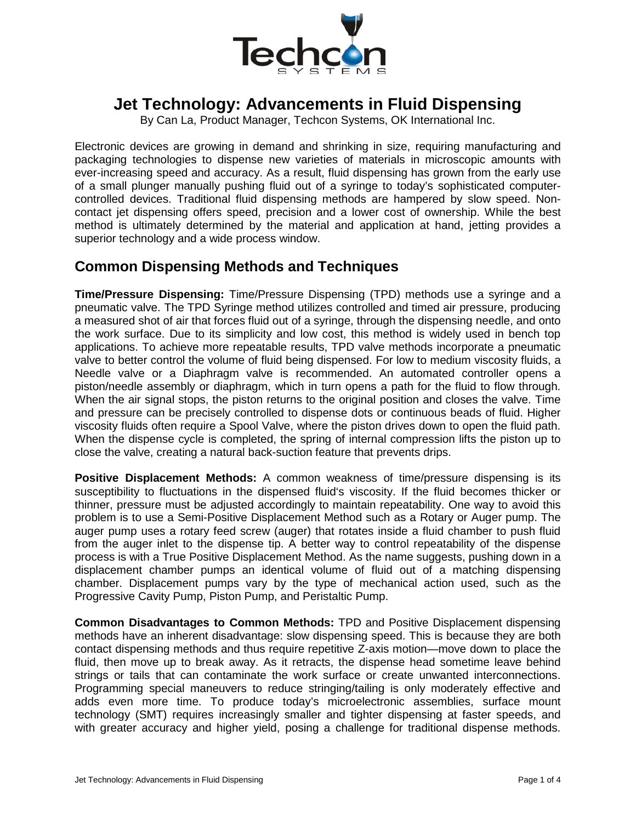

## **Jet Technology: Advancements in Fluid Dispensing**

By Can La, Product Manager, Techcon Systems, OK International Inc.

Electronic devices are growing in demand and shrinking in size, requiring manufacturing and packaging technologies to dispense new varieties of materials in microscopic amounts with ever-increasing speed and accuracy. As a result, fluid dispensing has grown from the early use of a small plunger manually pushing fluid out of a syringe to today's sophisticated computercontrolled devices. Traditional fluid dispensing methods are hampered by slow speed. Noncontact jet dispensing offers speed, precision and a lower cost of ownership. While the best method is ultimately determined by the material and application at hand, jetting provides a superior technology and a wide process window.

## **Common Dispensing Methods and Techniques**

**Time/Pressure Dispensing:** Time/Pressure Dispensing (TPD) methods use a syringe and a pneumatic valve. The TPD Syringe method utilizes controlled and timed air pressure, producing a measured shot of air that forces fluid out of a syringe, through the dispensing needle, and onto the work surface. Due to its simplicity and low cost, this method is widely used in bench top applications. To achieve more repeatable results, TPD valve methods incorporate a pneumatic valve to better control the volume of fluid being dispensed. For low to medium viscosity fluids, a Needle valve or a Diaphragm valve is recommended. An automated controller opens a piston/needle assembly or diaphragm, which in turn opens a path for the fluid to flow through. When the air signal stops, the piston returns to the original position and closes the valve. Time and pressure can be precisely controlled to dispense dots or continuous beads of fluid. Higher viscosity fluids often require a Spool Valve, where the piston drives down to open the fluid path. When the dispense cycle is completed, the spring of internal compression lifts the piston up to close the valve, creating a natural back-suction feature that prevents drips.

**Positive Displacement Methods:** A common weakness of time/pressure dispensing is its susceptibility to fluctuations in the dispensed fluid's viscosity. If the fluid becomes thicker or thinner, pressure must be adjusted accordingly to maintain repeatability. One way to avoid this problem is to use a Semi-Positive Displacement Method such as a Rotary or Auger pump. The auger pump uses a rotary feed screw (auger) that rotates inside a fluid chamber to push fluid from the auger inlet to the dispense tip. A better way to control repeatability of the dispense process is with a True Positive Displacement Method. As the name suggests, pushing down in a displacement chamber pumps an identical volume of fluid out of a matching dispensing chamber. Displacement pumps vary by the type of mechanical action used, such as the Progressive Cavity Pump, Piston Pump, and Peristaltic Pump.

**Common Disadvantages to Common Methods:** TPD and Positive Displacement dispensing methods have an inherent disadvantage: slow dispensing speed. This is because they are both contact dispensing methods and thus require repetitive Z-axis motion—move down to place the fluid, then move up to break away. As it retracts, the dispense head sometime leave behind strings or tails that can contaminate the work surface or create unwanted interconnections. Programming special maneuvers to reduce stringing/tailing is only moderately effective and adds even more time. To produce today's microelectronic assemblies, surface mount technology (SMT) requires increasingly smaller and tighter dispensing at faster speeds, and with greater accuracy and higher yield, posing a challenge for traditional dispense methods.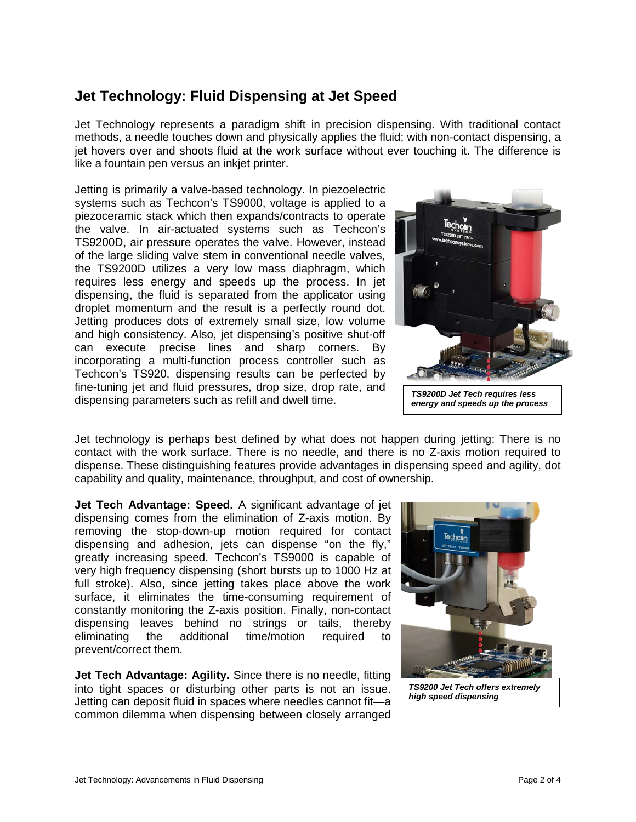## **Jet Technology: Fluid Dispensing at Jet Speed**

Jet Technology represents a paradigm shift in precision dispensing. With traditional contact methods, a needle touches down and physically applies the fluid; with non-contact dispensing, a jet hovers over and shoots fluid at the work surface without ever touching it. The difference is like a fountain pen versus an inkjet printer.

Jetting is primarily a valve-based technology. In piezoelectric systems such as Techcon's TS9000, voltage is applied to a piezoceramic stack which then expands/contracts to operate the valve. In air-actuated systems such as Techcon's TS9200D, air pressure operates the valve. However, instead of the large sliding valve stem in conventional needle valves, the TS9200D utilizes a very low mass diaphragm, which requires less energy and speeds up the process. In jet dispensing, the fluid is separated from the applicator using droplet momentum and the result is a perfectly round dot. Jetting produces dots of extremely small size, low volume and high consistency. Also, jet dispensing's positive shut-off can execute precise lines and sharp corners. By incorporating a multi-function process controller such as Techcon's TS920, dispensing results can be perfected by fine-tuning jet and fluid pressures, drop size, drop rate, and dispensing parameters such as refill and dwell time.



Jet technology is perhaps best defined by what does not happen during jetting: There is no contact with the work surface. There is no needle, and there is no Z-axis motion required to dispense. These distinguishing features provide advantages in dispensing speed and agility, dot capability and quality, maintenance, throughput, and cost of ownership.

**Jet Tech Advantage: Speed.** A significant advantage of jet dispensing comes from the elimination of Z-axis motion. By removing the stop-down-up motion required for contact dispensing and adhesion, jets can dispense "on the fly," greatly increasing speed. Techcon's TS9000 is capable of very high frequency dispensing (short bursts up to 1000 Hz at full stroke). Also, since jetting takes place above the work surface, it eliminates the time-consuming requirement of constantly monitoring the Z-axis position. Finally, non-contact dispensing leaves behind no strings or tails, thereby eliminating the additional time/motion required to prevent/correct them.

**Jet Tech Advantage: Agility.** Since there is no needle, fitting into tight spaces or disturbing other parts is not an issue. Jetting can deposit fluid in spaces where needles cannot fit—a common dilemma when dispensing between closely arranged

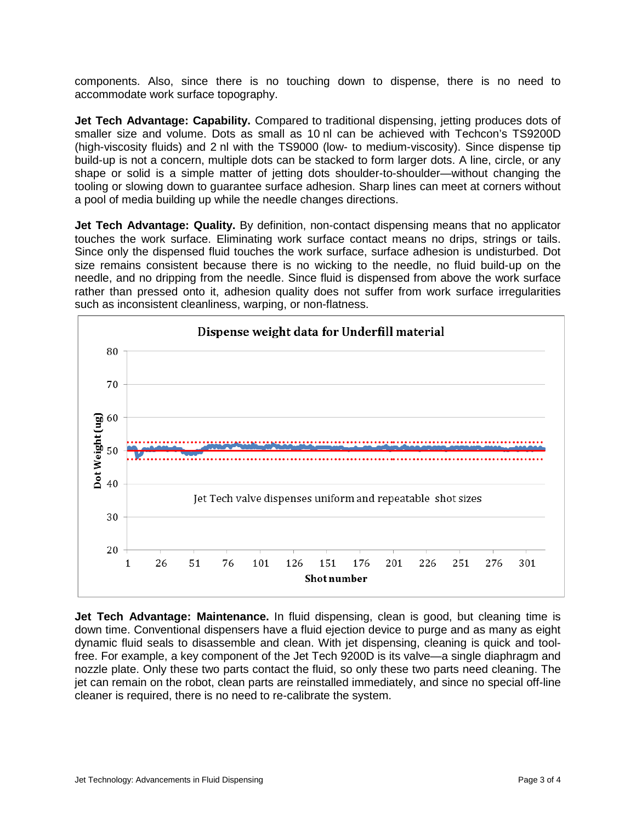components. Also, since there is no touching down to dispense, there is no need to accommodate work surface topography.

**Jet Tech Advantage: Capability.** Compared to traditional dispensing, jetting produces dots of smaller size and volume. Dots as small as 10 nl can be achieved with Techcon's TS9200D (high-viscosity fluids) and 2 nl with the TS9000 (low- to medium-viscosity). Since dispense tip build-up is not a concern, multiple dots can be stacked to form larger dots. A line, circle, or any shape or solid is a simple matter of jetting dots shoulder-to-shoulder—without changing the tooling or slowing down to guarantee surface adhesion. Sharp lines can meet at corners without a pool of media building up while the needle changes directions.

**Jet Tech Advantage: Quality.** By definition, non-contact dispensing means that no applicator touches the work surface. Eliminating work surface contact means no drips, strings or tails. Since only the dispensed fluid touches the work surface, surface adhesion is undisturbed. Dot size remains consistent because there is no wicking to the needle, no fluid build-up on the needle, and no dripping from the needle. Since fluid is dispensed from above the work surface rather than pressed onto it, adhesion quality does not suffer from work surface irregularities such as inconsistent cleanliness, warping, or non-flatness.



**Jet Tech Advantage: Maintenance.** In fluid dispensing, clean is good, but cleaning time is down time. Conventional dispensers have a fluid ejection device to purge and as many as eight dynamic fluid seals to disassemble and clean. With jet dispensing, cleaning is quick and toolfree. For example, a key component of the Jet Tech 9200D is its valve—a single diaphragm and nozzle plate. Only these two parts contact the fluid, so only these two parts need cleaning. The jet can remain on the robot, clean parts are reinstalled immediately, and since no special off-line cleaner is required, there is no need to re-calibrate the system.